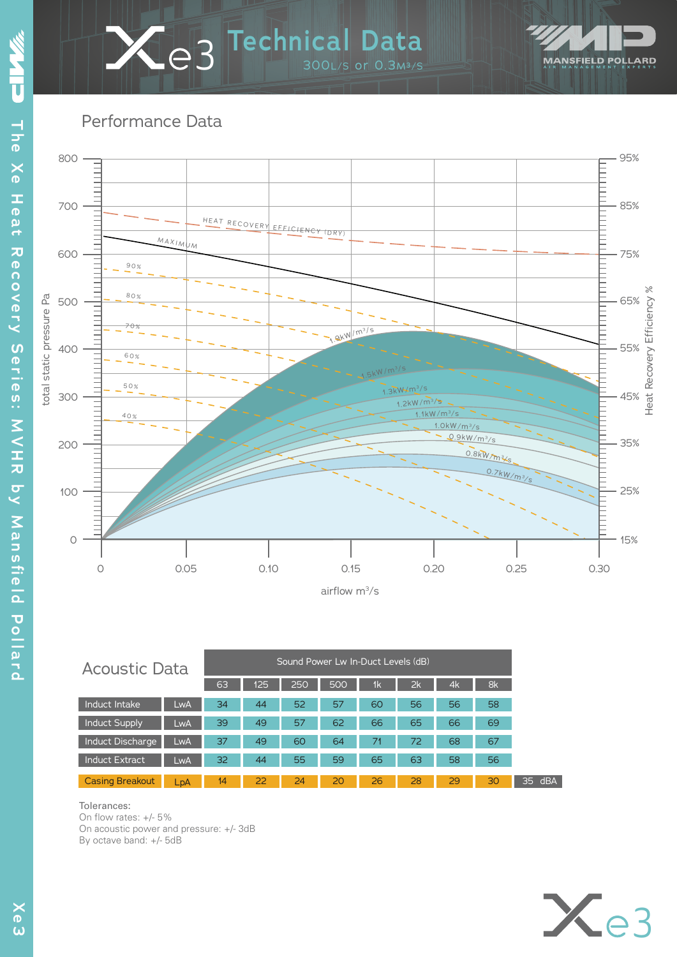# 300L/S or 0.3M³/S **3 Technical Data**



Performance Data



| <b>Acoustic Data</b>    |     |    |     |     | Sound Power Lw In-Duct Levels (dB) |                |    |    |    |
|-------------------------|-----|----|-----|-----|------------------------------------|----------------|----|----|----|
|                         |     | 63 | 125 | 250 | 500                                | 1 <sub>k</sub> | 2k | 4k | 8k |
| Induct Intake           | LwA | 34 | 44  | 52  | 57                                 | 60             | 56 | 56 | 58 |
| <b>Induct Supply</b>    | LwA | 39 | 49  | 57  | 62                                 | 66             | 65 | 66 | 69 |
| <b>Induct Discharge</b> | LwA | 37 | 49  | 60  | 64                                 | 71             | 72 | 68 | 67 |
| <b>Induct Extract</b>   | LwA | 32 | 44  | 55  | 59                                 | 65             | 63 | 58 | 56 |
| <b>Casing Breakout</b>  | LpA | 14 | 22  | 24  | 20                                 | 26             | 28 | 29 | 30 |

#### Tolerances:

On flow rates: +/- 5% On acoustic power and pressure: +/- 3dB By octave band: +/- 5dB